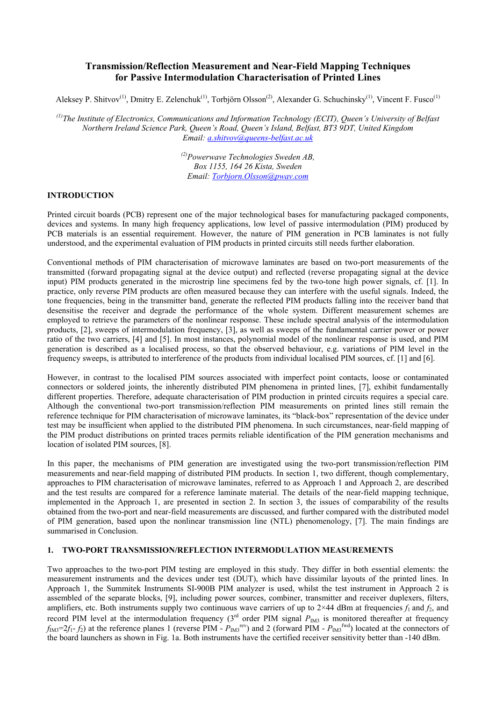# **Transmission/Reflection Measurement and Near-Field Mapping Techniques for Passive Intermodulation Characterisation of Printed Lines**

Aleksey P. Shitvov<sup>(1)</sup>, Dmitry E. Zelenchuk<sup>(1)</sup>, Torbjörn Olsson<sup>(2)</sup>, Alexander G. Schuchinsky<sup>(1)</sup>, Vincent F. Fusco<sup>(1)</sup>

*(1)The Institute of Electronics, Communications and Information Technology (ECIT), Queen's University of Belfast Northern Ireland Science Park, Queen's Road, Queen's Island, Belfast, BT3 9DT, United Kingdom Email: [a.shitvov@queens-belfast.ac.uk](mailto:a.shitvov@queen)* 

> *(2)Powerwave Technologies Sweden AB, Box 1155, 164 26 Kista, Sweden Email: [Torbjorn.Olsson@pwav.com](mailto:Torbjorn.Olsson@pwav.com)*

### **INTRODUCTION**

Printed circuit boards (PCB) represent one of the major technological bases for manufacturing packaged components, devices and systems. In many high frequency applications, low level of passive intermodulation (PIM) produced by PCB materials is an essential requirement. However, the nature of PIM generation in PCB laminates is not fully understood, and the experimental evaluation of PIM products in printed circuits still needs further elaboration.

Conventional methods of PIM characterisation of microwave laminates are based on two-port measurements of the transmitted (forward propagating signal at the device output) and reflected (reverse propagating signal at the device input) PIM products generated in the microstrip line specimens fed by the two-tone high power signals, cf. [1]. In practice, only reverse PIM products are often measured because they can interfere with the useful signals. Indeed, the tone frequencies, being in the transmitter band, generate the reflected PIM products falling into the receiver band that desensitise the receiver and degrade the performance of the whole system. Different measurement schemes are employed to retrieve the parameters of the nonlinear response. These include spectral analysis of the intermodulation products, [2], sweeps of intermodulation frequency, [3], as well as sweeps of the fundamental carrier power or power ratio of the two carriers, [4] and [5]. In most instances, polynomial model of the nonlinear response is used, and PIM generation is described as a localised process, so that the observed behaviour, e.g. variations of PIM level in the frequency sweeps, is attributed to interference of the products from individual localised PIM sources, cf. [1] and [6].

However, in contrast to the localised PIM sources associated with imperfect point contacts, loose or contaminated connectors or soldered joints, the inherently distributed PIM phenomena in printed lines, [7], exhibit fundamentally different properties. Therefore, adequate characterisation of PIM production in printed circuits requires a special care. Although the conventional two-port transmission/reflection PIM measurements on printed lines still remain the reference technique for PIM characterisation of microwave laminates, its "black-box" representation of the device under test may be insufficient when applied to the distributed PIM phenomena. In such circumstances, near-field mapping of the PIM product distributions on printed traces permits reliable identification of the PIM generation mechanisms and location of isolated PIM sources, [8].

In this paper, the mechanisms of PIM generation are investigated using the two-port transmission/reflection PIM measurements and near-field mapping of distributed PIM products. In section 1, two different, though complementary, approaches to PIM characterisation of microwave laminates, referred to as Approach 1 and Approach 2, are described and the test results are compared for a reference laminate material. The details of the near-field mapping technique, implemented in the Approach 1, are presented in section 2. In section 3, the issues of comparability of the results obtained from the two-port and near-field measurements are discussed, and further compared with the distributed model of PIM generation, based upon the nonlinear transmission line (NTL) phenomenology, [7]. The main findings are summarised in Conclusion.

#### **1. TWO-PORT TRANSMISSION/REFLECTION INTERMODULATION MEASUREMENTS**

Two approaches to the two-port PIM testing are employed in this study. They differ in both essential elements: the measurement instruments and the devices under test (DUT), which have dissimilar layouts of the printed lines. In Approach 1, the Summitek Instruments SI-900B PIM analyzer is used, whilst the test instrument in Approach 2 is assembled of the separate blocks, [9], including power sources, combiner, transmitter and receiver duplexers, filters, amplifiers, etc. Both instruments supply two continuous wave carriers of up to  $2\times 44$  dBm at frequencies  $f_1$  and  $f_2$ , and record PIM level at the intermodulation frequency  $(3<sup>rd</sup>$  order PIM signal  $P_{IM3}$  is monitored thereafter at frequency  $f_{\text{IM3}}=2f_1-f_2$ ) at the reference planes 1 (reverse PIM -  $P_{\text{IM3}}^{\text{rev}}$ ) and 2 (forward PIM -  $P_{\text{IM3}}^{\text{fwd}}$ ) located at the connectors of the board launchers as shown in Fig. 1a. Both instruments have the certified receiver sensitivity better than -140 dBm.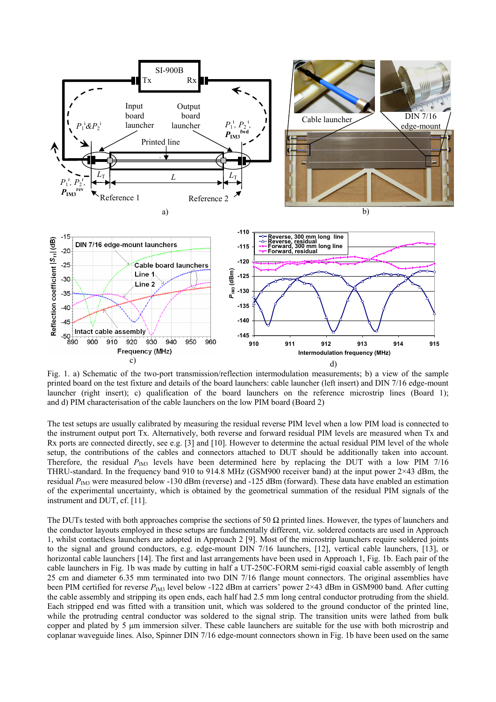

Fig. 1. a) Schematic of the two-port transmission/reflection intermodulation measurements; b) a view of the sample printed board on the test fixture and details of the board launchers: cable launcher (left insert) and DIN 7/16 edge-mount launcher (right insert); c) qualification of the board launchers on the reference microstrip lines (Board 1); and d) PIM characterisation of the cable launchers on the low PIM board (Board 2)

The test setups are usually calibrated by measuring the residual reverse PIM level when a low PIM load is connected to the instrument output port Tx. Alternatively, both reverse and forward residual PIM levels are measured when Tx and Rx ports are connected directly, see e.g. [3] and [10]. However to determine the actual residual PIM level of the whole setup, the contributions of the cables and connectors attached to DUT should be additionally taken into account. Therefore, the residual  $P_{\text{IM3}}$  levels have been determined here by replacing the DUT with a low PIM 7/16 THRU-standard. In the frequency band 910 to 914.8 MHz (GSM900 receiver band) at the input power  $2\times 43$  dBm, the residual *P<sub>IM3</sub>* were measured below -130 dBm (reverse) and -125 dBm (forward). These data have enabled an estimation of the experimental uncertainty, which is obtained by the geometrical summation of the residual PIM signals of the instrument and DUT, cf. [11].

The DUTs tested with both approaches comprise the sections of 50  $\Omega$  printed lines. However, the types of launchers and the conductor layouts employed in these setups are fundamentally different, viz. soldered contacts are used in Approach 1, whilst contactless launchers are adopted in Approach 2 [9]. Most of the microstrip launchers require soldered joints to the signal and ground conductors, e.g. edge-mount DIN 7/16 launchers, [12], vertical cable launchers, [13], or horizontal cable launchers [14]. The first and last arrangements have been used in Approach 1, Fig. 1b. Each pair of the cable launchers in Fig. 1b was made by cutting in half a UT-250C-FORM semi-rigid coaxial cable assembly of length 25 cm and diameter 6.35 mm terminated into two DIN 7/16 flange mount connectors. The original assemblies have been PIM certified for reverse  $P_{\text{IM3}}$  level below -122 dBm at carriers' power 2×43 dBm in GSM900 band. After cutting the cable assembly and stripping its open ends, each half had 2.5 mm long central conductor protruding from the shield. Each stripped end was fitted with a transition unit, which was soldered to the ground conductor of the printed line, while the protruding central conductor was soldered to the signal strip. The transition units were lathed from bulk copper and plated by 5 μm immersion silver. These cable launchers are suitable for the use with both microstrip and coplanar waveguide lines. Also, Spinner DIN 7/16 edge-mount connectors shown in Fig. 1b have been used on the same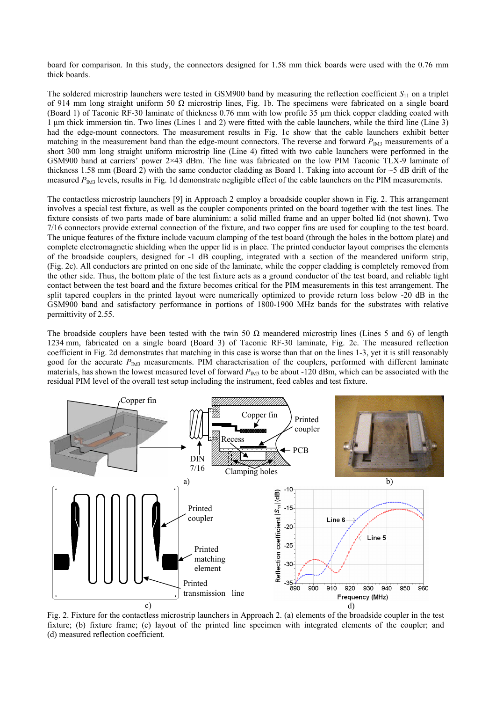board for comparison. In this study, the connectors designed for 1.58 mm thick boards were used with the 0.76 mm thick boards.

The soldered microstrip launchers were tested in GSM900 band by measuring the reflection coefficient  $S<sub>11</sub>$  on a triplet of 914 mm long straight uniform 50 Ω microstrip lines, Fig. 1b. The specimens were fabricated on a single board (Board 1) of Taconic RF-30 laminate of thickness 0.76 mm with low profile 35 μm thick copper cladding coated with 1 μm thick immersion tin. Two lines (Lines 1 and 2) were fitted with the cable launchers, while the third line (Line 3) had the edge-mount connectors. The measurement results in Fig. 1c show that the cable launchers exhibit better matching in the measurement band than the edge-mount connectors. The reverse and forward  $P_{IM3}$  measurements of a short 300 mm long straight uniform microstrip line (Line 4) fitted with two cable launchers were performed in the GSM900 band at carriers' power 2×43 dBm. The line was fabricated on the low PIM Taconic TLX-9 laminate of thickness 1.58 mm (Board 2) with the same conductor cladding as Board 1. Taking into account for  $\sim$ 5 dB drift of the measured  $P_{\text{IM3}}$  levels, results in Fig. 1d demonstrate negligible effect of the cable launchers on the PIM measurements.

The contactless microstrip launchers [9] in Approach 2 employ a broadside coupler shown in Fig. 2. This arrangement involves a special test fixture, as well as the coupler components printed on the board together with the test lines. The fixture consists of two parts made of bare aluminium: a solid milled frame and an upper bolted lid (not shown). Two 7/16 connectors provide external connection of the fixture, and two copper fins are used for coupling to the test board. The unique features of the fixture include vacuum clamping of the test board (through the holes in the bottom plate) and complete electromagnetic shielding when the upper lid is in place. The printed conductor layout comprises the elements of the broadside couplers, designed for -1 dB coupling, integrated with a section of the meandered uniform strip, (Fig. 2c). All conductors are printed on one side of the laminate, while the copper cladding is completely removed from the other side. Thus, the bottom plate of the test fixture acts as a ground conductor of the test board, and reliable tight contact between the test board and the fixture becomes critical for the PIM measurements in this test arrangement. The split tapered couplers in the printed layout were numerically optimized to provide return loss below -20 dB in the GSM900 band and satisfactory performance in portions of 1800-1900 MHz bands for the substrates with relative permittivity of 2.55.

The broadside couplers have been tested with the twin 50  $\Omega$  meandered microstrip lines (Lines 5 and 6) of length 1234 mm, fabricated on a single board (Board 3) of Taconic RF-30 laminate, Fig. 2c. The measured reflection coefficient in Fig. 2d demonstrates that matching in this case is worse than that on the lines 1-3, yet it is still reasonably good for the accurate  $P_{\text{IM3}}$  measurements. PIM characterisation of the couplers, performed with different laminate materials, has shown the lowest measured level of forward  $P_{\text{IM3}}$  to be about -120 dBm, which can be associated with the residual PIM level of the overall test setup including the instrument, feed cables and test fixture.



Fig. 2. Fixture for the contactless microstrip launchers in Approach 2. (a) elements of the broadside coupler in the test fixture; (b) fixture frame; (c) layout of the printed line specimen with integrated elements of the coupler; and (d) measured reflection coefficient.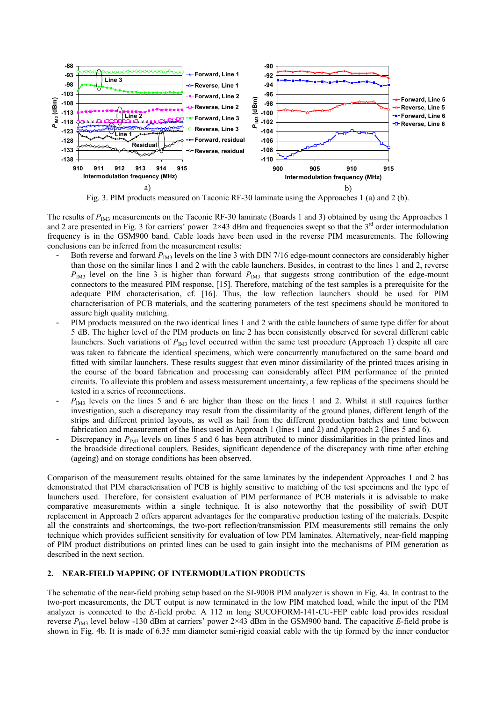

Fig. 3. PIM products measured on Taconic RF-30 laminate using the Approaches 1 (a) and 2 (b).

The results of *P<sub>IM3</sub>* measurements on the Taconic RF-30 laminate (Boards 1 and 3) obtained by using the Approaches 1 and 2 are presented in Fig. 3 for carriers' power  $2\times 43$  dBm and frequencies swept so that the 3<sup>rd</sup> order intermodulation frequency is in the GSM900 band. Cable loads have been used in the reverse PIM measurements. The following conclusions can be inferred from the measurement results:

- Both reverse and forward  $P_{\text{IM3}}$  levels on the line 3 with DIN 7/16 edge-mount connectors are considerably higher than those on the similar lines 1 and 2 with the cable launchers. Besides, in contrast to the lines 1 and 2, reverse *P*<sub>IM3</sub> level on the line 3 is higher than forward *P*<sub>IM3</sub> that suggests strong contribution of the edge-mount connectors to the measured PIM response, [15]. Therefore, matching of the test samples is a prerequisite for the adequate PIM characterisation, cf. [16]. Thus, the low reflection launchers should be used for PIM characterisation of PCB materials, and the scattering parameters of the test specimens should be monitored to assure high quality matching.
- PIM products measured on the two identical lines 1 and 2 with the cable launchers of same type differ for about 5 dB. The higher level of the PIM products on line 2 has been consistently observed for several different cable launchers. Such variations of  $P_{\text{IM3}}$  level occurred within the same test procedure (Approach 1) despite all care was taken to fabricate the identical specimens, which were concurrently manufactured on the same board and fitted with similar launchers. These results suggest that even minor dissimilarity of the printed traces arising in the course of the board fabrication and processing can considerably affect PIM performance of the printed circuits. To alleviate this problem and assess measurement uncertainty, a few replicas of the specimens should be tested in a series of reconnections.
- $P_{\text{IM3}}$  levels on the lines 5 and 6 are higher than those on the lines 1 and 2. Whilst it still requires further investigation, such a discrepancy may result from the dissimilarity of the ground planes, different length of the strips and different printed layouts, as well as hail from the different production batches and time between fabrication and measurement of the lines used in Approach 1 (lines 1 and 2) and Approach 2 (lines 5 and 6).
- Discrepancy in *P<sub>IM3</sub>* levels on lines 5 and 6 has been attributed to minor dissimilarities in the printed lines and the broadside directional couplers. Besides, significant dependence of the discrepancy with time after etching (ageing) and on storage conditions has been observed.

Comparison of the measurement results obtained for the same laminates by the independent Approaches 1 and 2 has demonstrated that PIM characterisation of PCB is highly sensitive to matching of the test specimens and the type of launchers used. Therefore, for consistent evaluation of PIM performance of PCB materials it is advisable to make comparative measurements within a single technique. It is also noteworthy that the possibility of swift DUT replacement in Approach 2 offers apparent advantages for the comparative production testing of the materials. Despite all the constraints and shortcomings, the two-port reflection/transmission PIM measurements still remains the only technique which provides sufficient sensitivity for evaluation of low PIM laminates. Alternatively, near-field mapping of PIM product distributions on printed lines can be used to gain insight into the mechanisms of PIM generation as described in the next section.

## **2. NEAR-FIELD MAPPING OF INTERMODULATION PRODUCTS**

The schematic of the near-field probing setup based on the SI-900B PIM analyzer is shown in Fig. 4a. In contrast to the two-port measurements, the DUT output is now terminated in the low PIM matched load, while the input of the PIM analyzer is connected to the *E*-field probe. A 112 m long SUCOFORM-141-CU-FEP cable load provides residual reverse  $P_{\text{IM3}}$  level below -130 dBm at carriers' power  $2\times 43$  dBm in the GSM900 band. The capacitive *E*-field probe is shown in Fig. 4b. It is made of 6.35 mm diameter semi-rigid coaxial cable with the tip formed by the inner conductor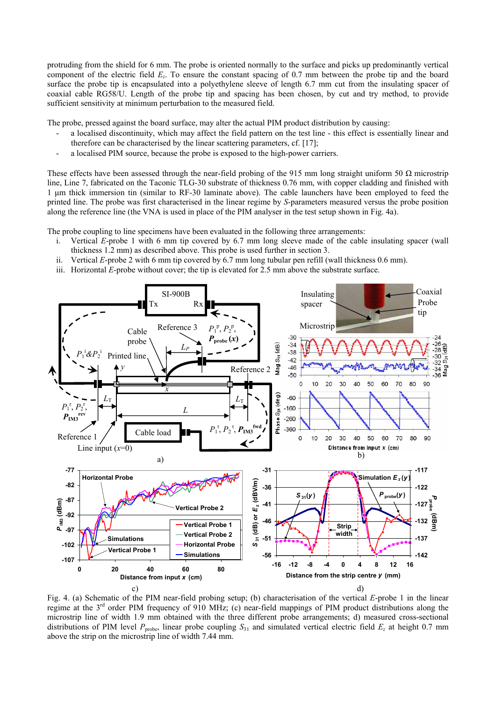protruding from the shield for 6 mm. The probe is oriented normally to the surface and picks up predominantly vertical component of the electric field *Ez*. To ensure the constant spacing of 0.7 mm between the probe tip and the board surface the probe tip is encapsulated into a polyethylene sleeve of length 6.7 mm cut from the insulating spacer of coaxial cable RG58/U. Length of the probe tip and spacing has been chosen, by cut and try method, to provide sufficient sensitivity at minimum perturbation to the measured field.

The probe, pressed against the board surface, may alter the actual PIM product distribution by causing:

- a localised discontinuity, which may affect the field pattern on the test line this effect is essentially linear and therefore can be characterised by the linear scattering parameters, cf. [17];
- a localised PIM source, because the probe is exposed to the high-power carriers.

These effects have been assessed through the near-field probing of the 915 mm long straight uniform 50  $\Omega$  microstrip line, Line 7, fabricated on the Taconic TLG-30 substrate of thickness 0.76 mm, with copper cladding and finished with 1 μm thick immersion tin (similar to RF-30 laminate above). The cable launchers have been employed to feed the printed line. The probe was first characterised in the linear regime by *S*-parameters measured versus the probe position along the reference line (the VNA is used in place of the PIM analyser in the test setup shown in Fig. 4a).

The probe coupling to line specimens have been evaluated in the following three arrangements:

- i. Vertical *E*-probe 1 with 6 mm tip covered by 6.7 mm long sleeve made of the cable insulating spacer (wall thickness 1.2 mm) as described above. This probe is used further in section 3.
- ii. Vertical *E*-probe 2 with 6 mm tip covered by 6.7 mm long tubular pen refill (wall thickness 0.6 mm).
- iii. Horizontal *E*-probe without cover; the tip is elevated for 2.5 mm above the substrate surface.



Fig. 4. (a) Schematic of the PIM near-field probing setup; (b) characterisation of the vertical *E*-probe 1 in the linear regime at the  $3<sup>rd</sup>$  order PIM frequency of 910 MHz; (c) near-field mappings of PIM product distributions along the microstrip line of width 1.9 mm obtained with the three different probe arrangements; d) measured cross-sectional distributions of PIM level  $P_{\text{probe}}$ , linear probe coupling  $S_{31}$  and simulated vertical electric field  $E_z$  at height 0.7 mm above the strip on the microstrip line of width 7.44 mm.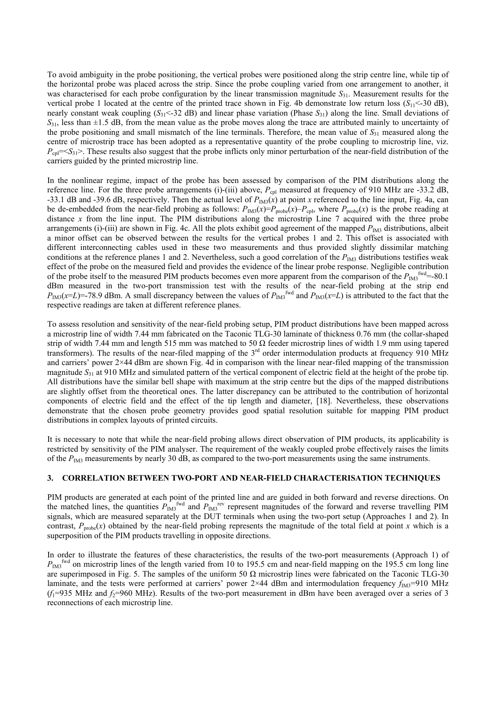To avoid ambiguity in the probe positioning, the vertical probes were positioned along the strip centre line, while tip of the horizontal probe was placed across the strip. Since the probe coupling varied from one arrangement to another, it was characterised for each probe configuration by the linear transmission magnitude  $S_{31}$ . Measurement results for the vertical probe 1 located at the centre of the printed trace shown in Fig. 4b demonstrate low return loss  $(S_{11} < 30 \text{ dB})$ , nearly constant weak coupling  $(S_{31} < 32$  dB) and linear phase variation (Phase  $S_{31}$ ) along the line. Small deviations of  $S_{31}$ , less than  $\pm 1.5$  dB, from the mean value as the probe moves along the trace are attributed mainly to uncertainty of the probe positioning and small mismatch of the line terminals. Therefore, the mean value of  $S_{31}$  measured along the centre of microstrip trace has been adopted as a representative quantity of the probe coupling to microstrip line, viz.  $P_{\text{cn}}$  =  $S_{31}$ . These results also suggest that the probe inflicts only minor perturbation of the near-field distribution of the carriers guided by the printed microstrip line.

In the nonlinear regime, impact of the probe has been assessed by comparison of the PIM distributions along the reference line. For the three probe arrangements (i)-(iii) above,  $P_{\text{cpl}}$  measured at frequency of 910 MHz are -33.2 dB, -33.1 dB and -39.6 dB, respectively. Then the actual level of  $P_{IM3}(x)$  at point *x* referenced to the line input, Fig. 4a, can be de-embedded from the near-field probing as follows:  $P_{\text{IM3}}(x)=P_{\text{probe}}(x)-P_{\text{cpl}}$ , where  $P_{\text{probe}}(x)$  is the probe reading at distance *x* from the line input. The PIM distributions along the microstrip Line 7 acquired with the three probe arrangements (i)-(iii) are shown in Fig. 4c. All the plots exhibit good agreement of the mapped  $P_{IM3}$  distributions, albeit a minor offset can be observed between the results for the vertical probes 1 and 2. This offset is associated with different interconnecting cables used in these two measurements and thus provided slightly dissimilar matching conditions at the reference planes 1 and 2. Nevertheless, such a good correlation of the  $P_{IM3}$  distributions testifies weak effect of the probe on the measured field and provides the evidence of the linear probe response. Negligible contribution of the probe itself to the measured PIM products becomes even more apparent from the comparison of the  $P_{\text{IM3}}^{\text{fwd}}$ =-80.1 dBm measured in the two-port transmission test with the results of the near-field probing at the strip end  $P_{\text{IM3}}(x=L)$ =-78.9 dBm. A small discrepancy between the values of  $P_{\text{IM3}}^{\text{fwd}}$  and  $P_{\text{IM3}}(x=L)$  is attributed to the fact that the respective readings are taken at different reference planes.

To assess resolution and sensitivity of the near-field probing setup, PIM product distributions have been mapped across a microstrip line of width 7.44 mm fabricated on the Taconic TLG-30 laminate of thickness 0.76 mm (the collar-shaped strip of width 7.44 mm and length 515 mm was matched to 50  $\Omega$  feeder microstrip lines of width 1.9 mm using tapered transformers). The results of the near-filed mapping of the  $3<sup>rd</sup>$  order intermodulation products at frequency 910 MHz and carriers' power  $2\times44$  dBm are shown Fig. 4d in comparison with the linear near-filed mapping of the transmission magnitude *S*31 at 910 MHz and simulated pattern of the vertical component of electric field at the height of the probe tip. All distributions have the similar bell shape with maximum at the strip centre but the dips of the mapped distributions are slightly offset from the theoretical ones. The latter discrepancy can be attributed to the contribution of horizontal components of electric field and the effect of the tip length and diameter, [18]. Nevertheless, these observations demonstrate that the chosen probe geometry provides good spatial resolution suitable for mapping PIM product distributions in complex layouts of printed circuits.

It is necessary to note that while the near-field probing allows direct observation of PIM products, its applicability is restricted by sensitivity of the PIM analyser. The requirement of the weakly coupled probe effectively raises the limits of the  $P_{\text{IM3}}$  measurements by nearly 30 dB, as compared to the two-port measurements using the same instruments.

#### **3. CORRELATION BETWEEN TWO-PORT AND NEAR-FIELD CHARACTERISATION TECHNIQUES**

PIM products are generated at each point of the printed line and are guided in both forward and reverse directions. On the matched lines, the quantities  $P_{\text{IM3}}^{\text{fwd}}$  and  $P_{\text{IM3}}^{\text{rev}}$  represent magnitudes of the forward and reverse travelling PIM signals, which are measured separately at the DUT terminals when using the two-port setup (Approaches 1 and 2). In contrast,  $P_{\text{probe}}(x)$  obtained by the near-field probing represents the magnitude of the total field at point *x* which is a superposition of the PIM products travelling in opposite directions.

In order to illustrate the features of these characteristics, the results of the two-port measurements (Approach 1) of  $P_{\text{IM}3}^{\text{fwd}}$  on microstrip lines of the length varied from 10 to 195.5 cm and near-field mapping on the 195.5 cm long line are superimposed in Fig. 5. The samples of the uniform 50  $\Omega$  microstrip lines were fabricated on the Taconic TLG-30 laminate, and the tests were performed at carriers' power 2×44 dBm and intermodulation frequency  $f_{\text{IM3}}$ =910 MHz  $(f_1=935 \text{ MHz and } f_2=960 \text{ MHz}$ ). Results of the two-port measurement in dBm have been averaged over a series of 3 reconnections of each microstrip line.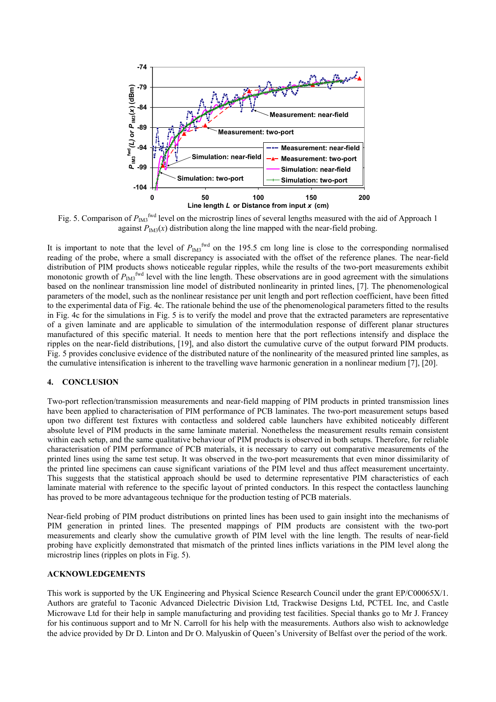

Fig. 5. Comparison of  $P_{\text{IM3}}^{\text{fwd}}$  level on the microstrip lines of several lengths measured with the aid of Approach 1 against  $P_{IM3}(x)$  distribution along the line mapped with the near-field probing.

It is important to note that the level of  $P_{IM3}$ <sup>fwd</sup> on the 195.5 cm long line is close to the corresponding normalised reading of the probe, where a small discrepancy is associated with the offset of the reference planes. The near-field distribution of PIM products shows noticeable regular ripples, while the results of the two-port measurements exhibit monotonic growth of  $P_{\text{IM}3}^{\text{fwd}}$  level with the line length. These observations are in good agreement with the simulations based on the nonlinear transmission line model of distributed nonlinearity in printed lines, [7]. The phenomenological parameters of the model, such as the nonlinear resistance per unit length and port reflection coefficient, have been fitted to the experimental data of Fig. 4c. The rationale behind the use of the phenomenological parameters fitted to the results in Fig. 4c for the simulations in Fig. 5 is to verify the model and prove that the extracted parameters are representative of a given laminate and are applicable to simulation of the intermodulation response of different planar structures manufactured of this specific material. It needs to mention here that the port reflections intensify and displace the ripples on the near-field distributions, [19], and also distort the cumulative curve of the output forward PIM products. Fig. 5 provides conclusive evidence of the distributed nature of the nonlinearity of the measured printed line samples, as the cumulative intensification is inherent to the travelling wave harmonic generation in a nonlinear medium [7], [20].

#### **4. CONCLUSION**

Two-port reflection/transmission measurements and near-field mapping of PIM products in printed transmission lines have been applied to characterisation of PIM performance of PCB laminates. The two-port measurement setups based upon two different test fixtures with contactless and soldered cable launchers have exhibited noticeably different absolute level of PIM products in the same laminate material. Nonetheless the measurement results remain consistent within each setup, and the same qualitative behaviour of PIM products is observed in both setups. Therefore, for reliable characterisation of PIM performance of PCB materials, it is necessary to carry out comparative measurements of the printed lines using the same test setup. It was observed in the two-port measurements that even minor dissimilarity of the printed line specimens can cause significant variations of the PIM level and thus affect measurement uncertainty. This suggests that the statistical approach should be used to determine representative PIM characteristics of each laminate material with reference to the specific layout of printed conductors. In this respect the contactless launching has proved to be more advantageous technique for the production testing of PCB materials.

Near-field probing of PIM product distributions on printed lines has been used to gain insight into the mechanisms of PIM generation in printed lines. The presented mappings of PIM products are consistent with the two-port measurements and clearly show the cumulative growth of PIM level with the line length. The results of near-field probing have explicitly demonstrated that mismatch of the printed lines inflicts variations in the PIM level along the microstrip lines (ripples on plots in Fig. 5).

### **ACKNOWLEDGEMENTS**

This work is supported by the UK Engineering and Physical Science Research Council under the grant EP/C00065X/1. Authors are grateful to Taconic Advanced Dielectric Division Ltd, Trackwise Designs Ltd, PCTEL Inc, and Castle Microwave Ltd for their help in sample manufacturing and providing test facilities. Special thanks go to Mr J. Francey for his continuous support and to Mr N. Carroll for his help with the measurements. Authors also wish to acknowledge the advice provided by Dr D. Linton and Dr O. Malyuskin of Queen's University of Belfast over the period of the work.